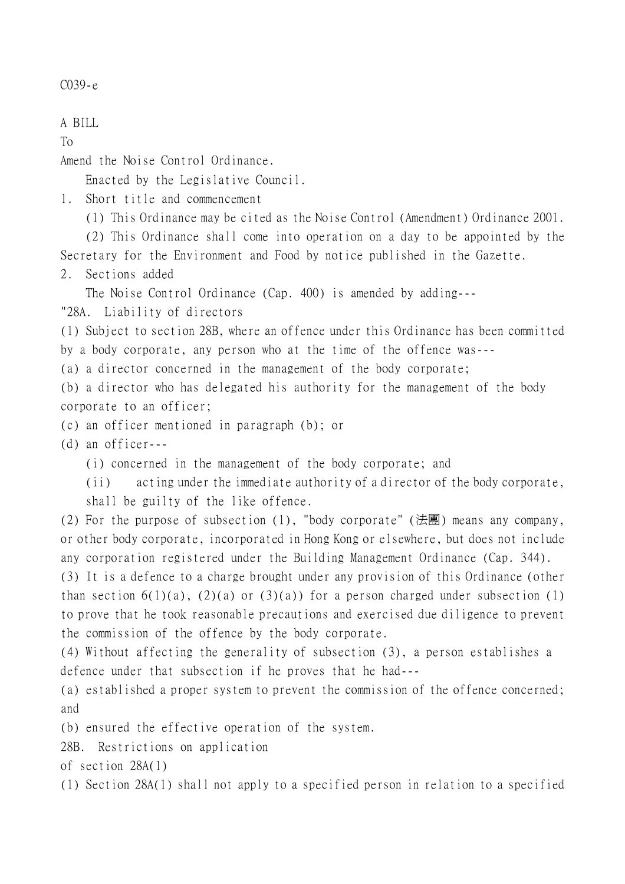C039-e

A BILL

To

Amend the Noise Control Ordinance.

Enacted by the Legislative Council.

1. Short title and commencement

(1) This Ordinance may be cited as the Noise Control (Amendment) Ordinance 2001.

(2) This Ordinance shall come into operation on a day to be appointed by the Secretary for the Environment and Food by notice published in the Gazette.

2. Sections added

The Noise Control Ordinance (Cap. 400) is amended by adding---

"28A. Liability of directors

(1) Subject to section 28B, where an offence under this Ordinance has been committed by a body corporate, any person who at the time of the offence was---

(a) a director concerned in the management of the body corporate;

(b) a director who has delegated his authority for the management of the body corporate to an officer;

(c) an officer mentioned in paragraph (b); or

(d) an officer---

(i) concerned in the management of the body corporate; and

(ii) acting under the immediate authority of a director of the body corporate,

shall be guilty of the like offence.

(2) For the purpose of subsection (1), "body corporate" (法團) means any company, or other body corporate, incorporated in Hong Kong or elsewhere, but does not include any corporation registered under the Building Management Ordinance (Cap. 344).

(3) It is a defence to a charge brought under any provision of this Ordinance (other than section  $6(1)(a)$ ,  $(2)(a)$  or  $(3)(a)$ ) for a person charged under subsection (1) to prove that he took reasonable precautions and exercised due diligence to prevent the commission of the offence by the body corporate.

(4) Without affecting the generality of subsection (3), a person establishes a defence under that subsection if he proves that he had---

(a) established a proper system to prevent the commission of the offence concerned; and

(b) ensured the effective operation of the system.

28B. Restrictions on application

of section 28A(1)

(1) Section 28A(1) shall not apply to a specified person in relation to a specified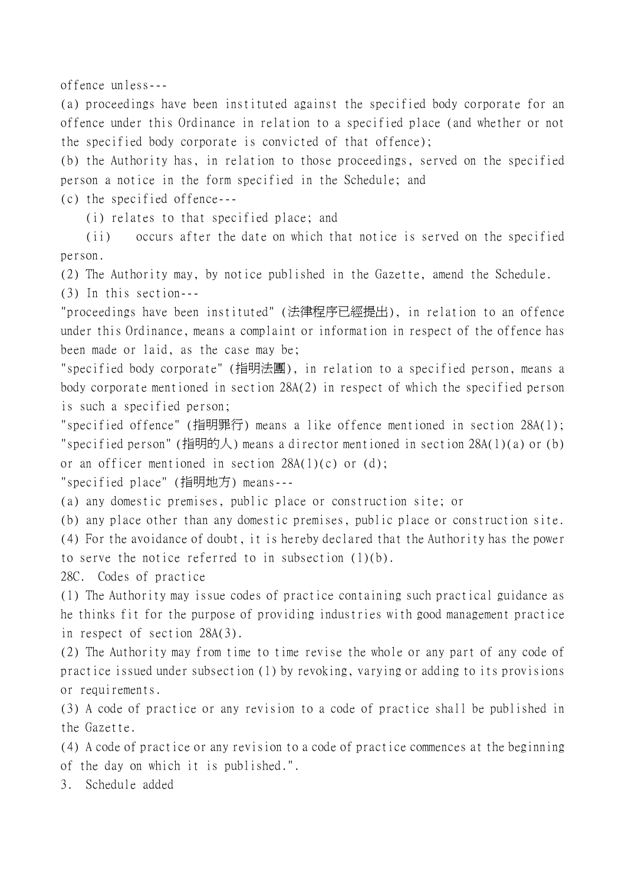offence unless---

(a) proceedings have been instituted against the specified body corporate for an offence under this Ordinance in relation to a specified place (and whether or not the specified body corporate is convicted of that offence);

(b) the Authority has, in relation to those proceedings, served on the specified person a notice in the form specified in the Schedule; and

(c) the specified offence---

(i) relates to that specified place; and

(ii) occurs after the date on which that notice is served on the specified person.

(2) The Authority may, by notice published in the Gazette, amend the Schedule.

(3) In this section---

"proceedings have been instituted" (法律程序已經提出), in relation to an offence under this Ordinance, means a complaint or information in respect of the offence has been made or laid, as the case may be;

"specified body corporate" (指明法團), in relation to a specified person, means a body corporate mentioned in section 28A(2) in respect of which the specified person is such a specified person;

"specified offence" (指明罪行) means a like offence mentioned in section 28A(1); "specified person" (指明的人) means a director mentioned in section  $28A(1)(a)$  or (b) or an officer mentioned in section  $28A(1)(c)$  or (d);

"specified place" (指明㆞方) means---

(a) any domestic premises, public place or construction site; or

(b) any place other than any domestic premises, public place or construction site.

(4) For the avoidance of doubt, it is hereby declared that the Authority has the power to serve the notice referred to in subsection (1)(b).

28C. Codes of practice

(1) The Authority may issue codes of practice containing such practical guidance as he thinks fit for the purpose of providing industries with good management practice in respect of section 28A(3).

(2) The Authority may from time to time revise the whole or any part of any code of practice issued under subsection (1) by revoking, varying or adding to its provisions or requirements.

(3) A code of practice or any revision to a code of practice shall be published in the Gazette.

(4) A code of practice or any revision to a code of practice commences at the beginning of the day on which it is published.".

3. Schedule added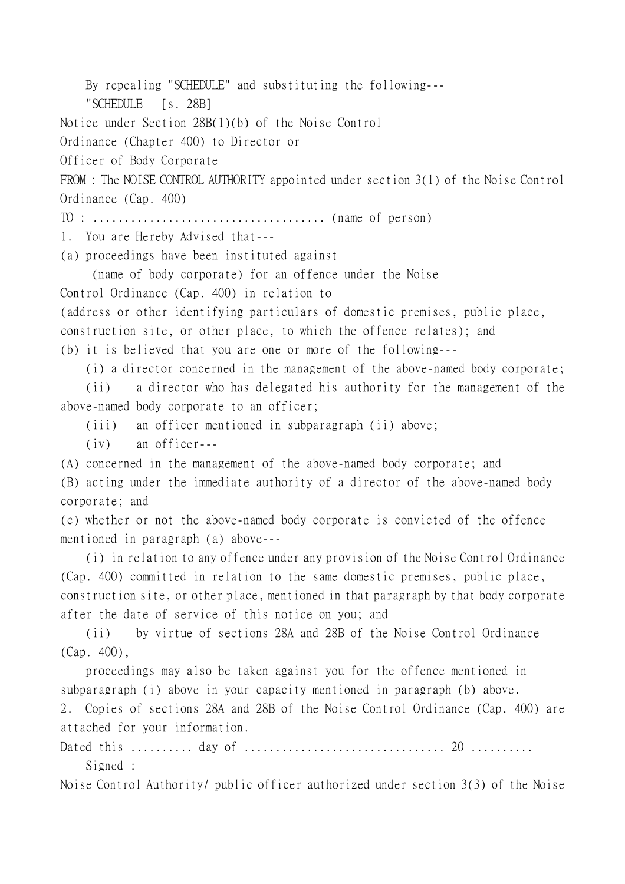By repealing "SCHEDULE" and substituting the following---

"SCHEDULE [s. 28B]

Notice under Section 28B(1)(b) of the Noise Control

Ordinance (Chapter 400) to Director or

Officer of Body Corporate

FROM : The NOISE CONTROL AUTHORITY appointed under section 3(1) of the Noise Control Ordinance (Cap. 400)

TO : ..................................... (name of person)

1. You are Hereby Advised that---

(a) proceedings have been instituted against

(name of body corporate) for an offence under the Noise

Control Ordinance (Cap. 400) in relation to

(address or other identifying particulars of domestic premises, public place,

construction site, or other place, to which the offence relates); and

(b) it is believed that you are one or more of the following---

(i) a director concerned in the management of the above-named body corporate;

(ii) a director who has delegated his authority for the management of the above-named body corporate to an officer;

(iii) an officer mentioned in subparagraph (ii) above;

(iv) an officer---

(A) concerned in the management of the above-named body corporate; and (B) acting under the immediate authority of a director of the above-named body corporate; and

(c) whether or not the above-named body corporate is convicted of the offence mentioned in paragraph (a) above---

(i) in relation to any offence under any provision of the Noise Control Ordinance (Cap. 400) committed in relation to the same domestic premises, public place, construction site, or other place, mentioned in that paragraph by that body corporate after the date of service of this notice on you; and

(ii) by virtue of sections 28A and 28B of the Noise Control Ordinance (Cap. 400),

proceedings may also be taken against you for the offence mentioned in subparagraph (i) above in your capacity mentioned in paragraph (b) above.

2. Copies of sections 28A and 28B of the Noise Control Ordinance (Cap. 400) are attached for your information.

Dated this .......... day of ................................ 20 .......... Signed :

Noise Control Authority/ public officer authorized under section 3(3) of the Noise